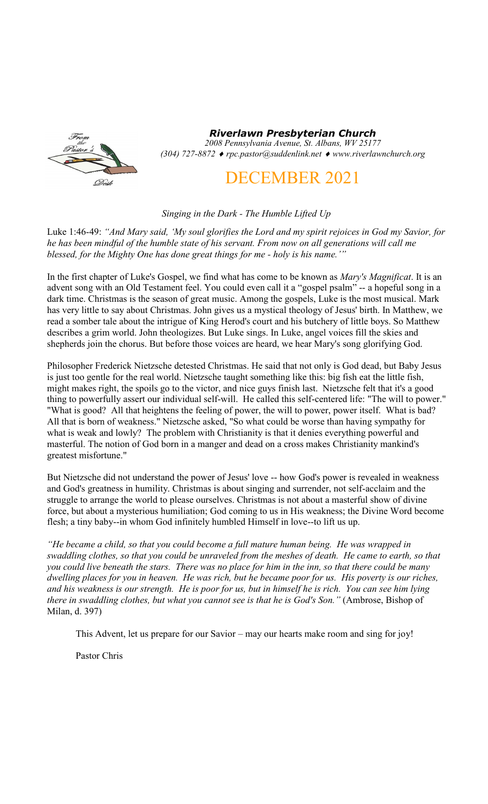

*Riverlawn Presbyterian Church 2008 Pennsylvania Avenue, St. Albans, WV 25177 (304) 727-8872 rpc.pastor@suddenlink.net www.riverlawnchurch.org* 

# DECEMBER 2021

# *Singing in the Dark - The Humble Lifted Up*

Luke 1:46-49: *"And Mary said, 'My soul glorifies the Lord and my spirit rejoices in God my Savior, for he has been mindful of the humble state of his servant. From now on all generations will call me blessed, for the Mighty One has done great things for me - holy is his name.'"*

In the first chapter of Luke's Gospel, we find what has come to be known as *Mary's Magnificat*. It is an advent song with an Old Testament feel. You could even call it a "gospel psalm" -- a hopeful song in a dark time. Christmas is the season of great music. Among the gospels, Luke is the most musical. Mark has very little to say about Christmas. John gives us a mystical theology of Jesus' birth. In Matthew, we read a somber tale about the intrigue of King Herod's court and his butchery of little boys. So Matthew describes a grim world. John theologizes. But Luke sings. In Luke, angel voices fill the skies and shepherds join the chorus. But before those voices are heard, we hear Mary's song glorifying God.

Philosopher Frederick Nietzsche detested Christmas. He said that not only is God dead, but Baby Jesus is just too gentle for the real world. Nietzsche taught something like this: big fish eat the little fish, might makes right, the spoils go to the victor, and nice guys finish last. Nietzsche felt that it's a good thing to powerfully assert our individual self-will. He called this self-centered life: "The will to power." "What is good? All that heightens the feeling of power, the will to power, power itself. What is bad? All that is born of weakness." Nietzsche asked, "So what could be worse than having sympathy for what is weak and lowly? The problem with Christianity is that it denies everything powerful and masterful. The notion of God born in a manger and dead on a cross makes Christianity mankind's greatest misfortune."

But Nietzsche did not understand the power of Jesus' love -- how God's power is revealed in weakness and God's greatness in humility. Christmas is about singing and surrender, not self-acclaim and the struggle to arrange the world to please ourselves. Christmas is not about a masterful show of divine force, but about a mysterious humiliation; God coming to us in His weakness; the Divine Word become flesh; a tiny baby--in whom God infinitely humbled Himself in love--to lift us up.

*"He became a child, so that you could become a full mature human being. He was wrapped in swaddling clothes, so that you could be unraveled from the meshes of death. He came to earth, so that you could live beneath the stars. There was no place for him in the inn, so that there could be many dwelling places for you in heaven. He was rich, but he became poor for us. His poverty is our riches, and his weakness is our strength. He is poor for us, but in himself he is rich. You can see him lying there in swaddling clothes, but what you cannot see is that he is God's Son."* (Ambrose, Bishop of Milan, d. 397)

This Advent, let us prepare for our Savior – may our hearts make room and sing for joy!

Pastor Chris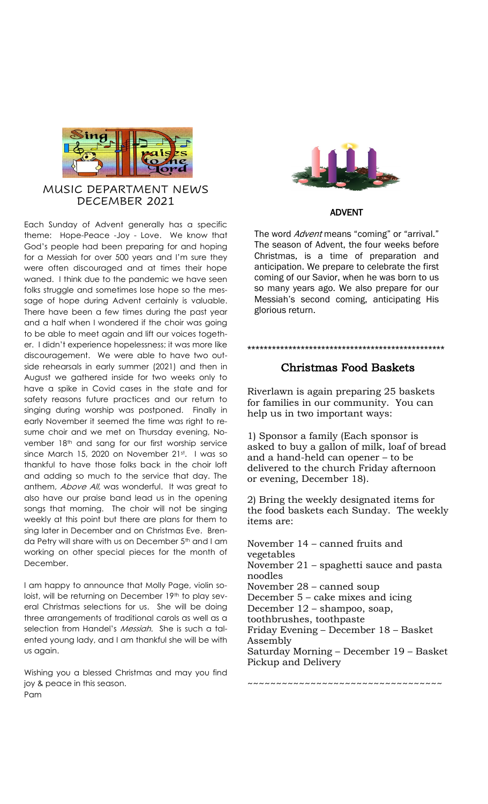

## MUSIC DEPARTMENT NEWS DECEMBER 2021

Each Sunday of Advent generally has a specific theme: Hope-Peace -Joy - Love. We know that God's people had been preparing for and hoping for a Messiah for over 500 years and I'm sure they were often discouraged and at times their hope waned. I think due to the pandemic we have seen folks struggle and sometimes lose hope so the message of hope during Advent certainly is valuable. There have been a few times during the past year and a half when I wondered if the choir was going to be able to meet again and lift our voices together. I didn't experience hopelessness; it was more like discouragement. We were able to have two outside rehearsals in early summer (2021) and then in August we gathered inside for two weeks only to have a spike in Covid cases in the state and for safety reasons future practices and our return to singing during worship was postponed. Finally in early November it seemed the time was right to resume choir and we met on Thursday evening, November 18th and sang for our first worship service since March 15, 2020 on November 21st. I was so thankful to have those folks back in the choir loft and adding so much to the service that day. The anthem, Above All, was wonderful. It was great to also have our praise band lead us in the opening songs that morning. The choir will not be singing weekly at this point but there are plans for them to sing later in December and on Christmas Eve. Brenda Petry will share with us on December 5<sup>th</sup> and I am working on other special pieces for the month of December.

I am happy to announce that Molly Page, violin soloist, will be returning on December 19th to play several Christmas selections for us. She will be doing three arrangements of traditional carols as well as a selection from Handel's Messiah. She is such a talented young lady, and I am thankful she will be with us again.

Wishing you a blessed Christmas and may you find joy & peace in this season. Pam



#### ADVENT

The word *Advent* means "coming" or "arrival." The season of Advent, the four weeks before Christmas, is a time of preparation and anticipation. We prepare to celebrate the first coming of our Savior, when he was born to us so many years ago. We also prepare for our Messiah's second coming, anticipating His glorious return.

### \*\*\*\*\*\*\*\*\*\*\*\*\*\*\*\*\*\*\*\*\*\*\*\*\*\*\*\*\*\*\*\*\*\*\*\*\*\*\*\*\*\*\*\*\*\*\*\*

# Christmas Food Baskets

Riverlawn is again preparing 25 baskets for families in our community. You can help us in two important ways:

1) Sponsor a family (Each sponsor is asked to buy a gallon of milk, loaf of bread and a hand-held can opener – to be delivered to the church Friday afternoon or evening, December 18).

2) Bring the weekly designated items for the food baskets each Sunday. The weekly items are:

November 14 – canned fruits and vegetables November 21 – spaghetti sauce and pasta noodles November 28 – canned soup December 5 – cake mixes and icing December 12 – shampoo, soap, toothbrushes, toothpaste Friday Evening – December 18 – Basket Assembly Saturday Morning – December 19 – Basket Pickup and Delivery

~~~~~~~~~~~~~~~~~~~~~~~~~~~~~~~~~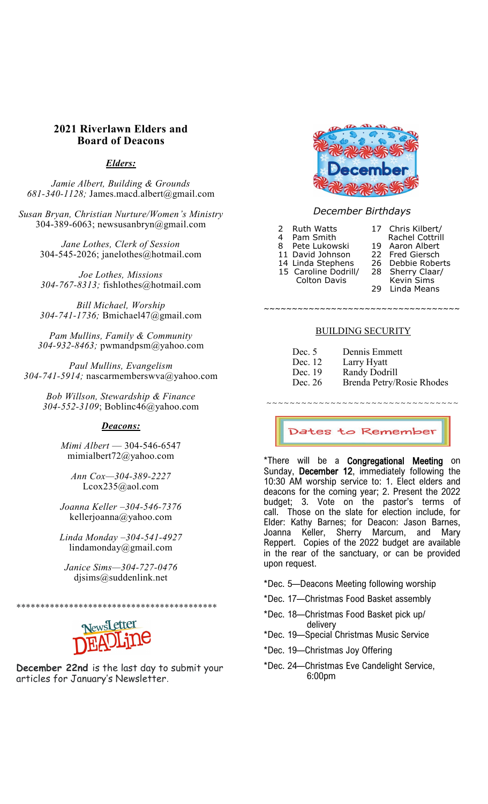### **2021 Riverlawn Elders and Board of Deacons**

#### *Elders:*

*Jamie Albert, Building & Grounds 681-340-1128;* James.macd.albert@gmail.com

*Susan Bryan, Christian Nurture/Women's Ministry* 304-389-6063; newsusanbryn@gmail.com

> *Jane Lothes, Clerk of Session* 304-545-2026; janelothes@hotmail.com

> *Joe Lothes, Missions 304-767-8313;* fishlothes@hotmail.com

> *Bill Michael, Worship 304-741-1736;* Bmichael47@gmail.com

*Pam Mullins, Family & Community 304-932-8463;* pwmandpsm@yahoo.com

*Paul Mullins, Evangelism 304-741-5914;* nascarmemberswva@yahoo.com

*Bob Willson, Stewardship & Finance 304-552-3109*; Boblinc46@yahoo.com

#### *Deacons:*

*Mimi Albert* — 304-546-6547 mimialbert72@yahoo.com

*Ann Cox—304-389-2227* Lcox235@aol.com

*Joanna Keller –304-546-7376* kellerjoanna@yahoo.com

*Linda Monday –304-541-4927* lindamonday@gmail.com

*Janice Sims—304-727-0476* djsims@suddenlink.net

\*\*\*\*\*\*\*\*\*\*\*\*\*\*\*\*\*\*\*\*\*\*\*\*\*\*\*\*\*\*\*\*\*\*\*\*\*\*\*\*\*\*



**December 22nd** is the last day to submit your articles for January's Newsletter.



#### *December Birthdays*

2 Ruth Watts 17 Chris Kilbert/

4 Pam Smith Rachel Cottrill<br>8 Pete Lukowski 19 Aaron Albert

- Pete Lukowski
	-
	- -
- 
- 15 Caroline Dodrill/ 28 Sherry Claar/ Colton Davis Kevin Sims

 $-2.1$   $-1.1$   $-1.1$   $-1.1$   $-1.1$   $-1.1$   $-1.1$   $-1.1$   $-1.1$   $-1.1$   $-1.1$   $-1.1$   $-1.1$   $-1.1$   $-1.1$   $-1.1$   $-1.1$   $-1.1$   $-1.1$   $-1.1$   $-1.1$   $-1.1$   $-1.1$   $-1.1$   $-1.1$   $-1.1$   $-1.1$   $-1.1$   $-1.1$   $-1.1$   $-1.1$   $-1.$ 

- 
- 29 Linda Means

# BUILDING SECURITY

| Dec. 5  | Dennis Emmett |
|---------|---------------|
| Dec. 12 | Larry Hyatt   |

- Dec. 19 Randy Dodrill
- Dec. 26 Brenda Petry/Rosie Rhodes

~~~~~~~~~~~~~~~~~~~~~~~~~~~~~~~~~

Dates to Remember

\*There will be a **Congregational Meeting** on Sunday, December 12, immediately following the 10:30 AM worship service to: 1. Elect elders and deacons for the coming year; 2. Present the 2022 budget; 3. Vote on the pastor's terms of call. Those on the slate for election include, for Elder: Kathy Barnes; for Deacon: Jason Barnes, Joanna Keller, Sherry Marcum, and Mary Reppert. Copies of the 2022 budget are available in the rear of the sanctuary, or can be provided upon request.

- \*Dec. 5—Deacons Meeting following worship
- \*Dec. 17—Christmas Food Basket assembly
- \*Dec. 18—Christmas Food Basket pick up/ delivery
- \*Dec. 19—Special Christmas Music Service
- \*Dec. 19—Christmas Joy Offering
- \*Dec. 24—Christmas Eve Candelight Service, 6:00pm

11 David Johnson 22 Fred Giersch<br>14 Linda Stephens 26 Debbie Roberts 14 Linda Stephens 26 Debbie Roberts